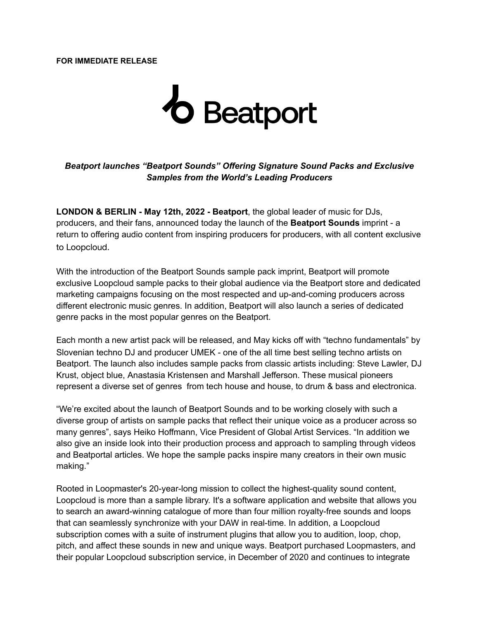**FOR IMMEDIATE RELEASE**

## **b** Beatport

## *Beatport launches "Beatport Sounds" Offering Signature Sound Packs and Exclusive Samples from the World's Leading Producers*

**LONDON & BERLIN - May 12th, 2022 - Beatport**, the global leader of music for DJs, producers, and their fans, announced today the launch of the **Beatport Sounds** imprint - a return to offering audio content from inspiring producers for producers, with all content exclusive to Loopcloud.

With the introduction of the Beatport Sounds sample pack imprint, Beatport will promote exclusive Loopcloud sample packs to their global audience via the Beatport store and dedicated marketing campaigns focusing on the most respected and up-and-coming producers across different electronic music genres. In addition, Beatport will also launch a series of dedicated genre packs in the most popular genres on the Beatport.

Each month a new artist pack will be released, and May kicks off with "techno fundamentals" by Slovenian techno DJ and producer UMEK - one of the all time best selling techno artists on Beatport. The launch also includes sample packs from classic artists including: Steve Lawler, DJ Krust, object blue, Anastasia Kristensen and Marshall Jefferson. These musical pioneers represent a diverse set of genres from tech house and house, to drum & bass and electronica.

"We're excited about the launch of Beatport Sounds and to be working closely with such a diverse group of artists on sample packs that reflect their unique voice as a producer across so many genres", says Heiko Hoffmann, Vice President of Global Artist Services. "In addition we also give an inside look into their production process and approach to sampling through videos and Beatportal articles. We hope the sample packs inspire many creators in their own music making."

Rooted in Loopmaster's 20-year-long mission to collect the highest-quality sound content, Loopcloud is more than a sample library. It's a software application and website that allows you to search an award-winning catalogue of more than four million royalty-free sounds and loops that can seamlessly synchronize with your DAW in real-time. In addition, a Loopcloud subscription comes with a suite of instrument plugins that allow you to audition, loop, chop, pitch, and affect these sounds in new and unique ways. Beatport purchased Loopmasters, and their popular Loopcloud subscription service, in December of 2020 and continues to integrate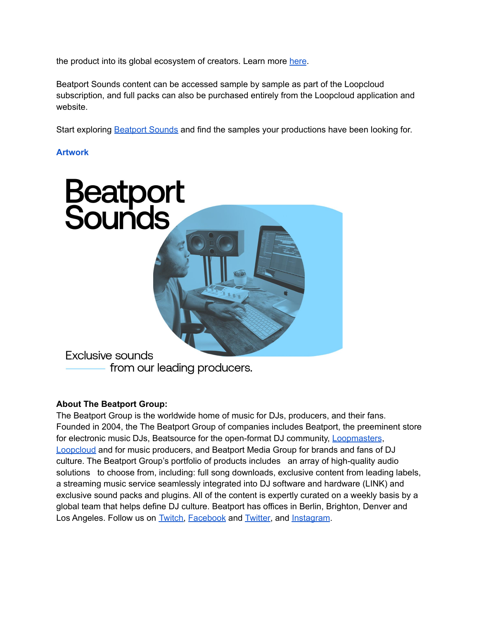the product into its global ecosystem of creators. Learn more [here](https://www.loopcloud.com/cloud/).

Beatport Sounds content can be accessed sample by sample as part of the Loopcloud subscription, and full packs can also be purchased entirely from the Loopcloud application and website.

Start exploring [Beatport](https://sounds.loopcloud.com/label/162-Beatport-Sounds) Sounds and find the samples your productions have been looking for.

## **[Artwork](https://beatport.box.com/s/4od8xnn5zxyi0e23smoyibkshfp4ymit)**



from our leading producers.

## **About The Beatport Group:**

The Beatport Group is the worldwide home of music for DJs, producers, and their fans. Founded in 2004, the The Beatport Group of companies includes Beatport, the preeminent store for electronic music DJs, Beatsource for the open-format DJ community, [Loopmasters](https://www.loopmasters.com/), [Loopcloud](https://www.loopcloud.com/cloud/) and for music producers, and Beatport Media Group for brands and fans of DJ culture. The Beatport Group's portfolio of products includes an array of high-quality audio solutions to choose from, including: full song downloads, exclusive content from leading labels, a streaming music service seamlessly integrated into DJ software and hardware (LINK) and exclusive sound packs and plugins. All of the content is expertly curated on a weekly basis by a global team that helps define DJ culture. Beatport has offices in Berlin, Brighton, Denver and Los Angeles. Follow us on **[Twitch,](https://www.twitch.tv/beatportofficial) [Facebook](https://www.facebook.com/beatport/)** and **Twitter**, and **[Instagram](https://www.instagram.com/beatport/)**.